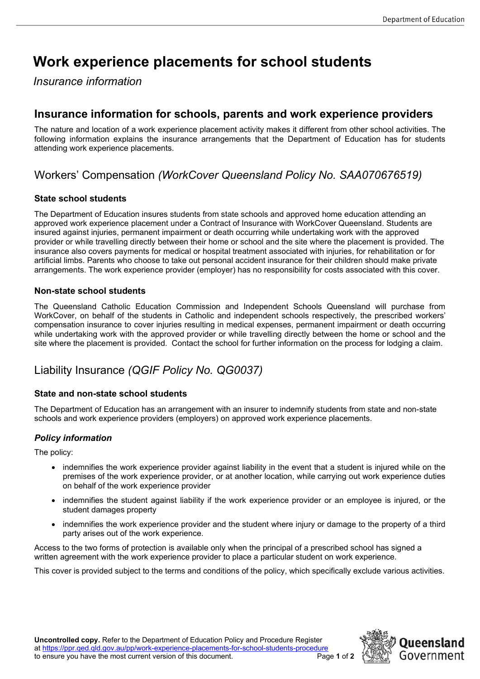# **Work experience placements for school students**

*Insurance information*

### **Insurance information for schools, parents and work experience providers**

The nature and location of a work experience placement activity makes it different from other school activities. The following information explains the insurance arrangements that the Department of Education has for students attending work experience placements.

# Workers' Compensation *(WorkCover Queensland Policy No. SAA070676519)*

#### **State school students**

The Department of Education insures students from state schools and approved home education attending an approved work experience placement under a Contract of Insurance with WorkCover Queensland. Students are insured against injuries, permanent impairment or death occurring while undertaking work with the approved provider or while travelling directly between their home or school and the site where the placement is provided. The insurance also covers payments for medical or hospital treatment associated with injuries, for rehabilitation or for artificial limbs. Parents who choose to take out personal accident insurance for their children should make private arrangements. The work experience provider (employer) has no responsibility for costs associated with this cover.

#### **Non-state school students**

The Queensland Catholic Education Commission and Independent Schools Queensland will purchase from WorkCover, on behalf of the students in Catholic and independent schools respectively, the prescribed workers' compensation insurance to cover injuries resulting in medical expenses, permanent impairment or death occurring while undertaking work with the approved provider or while travelling directly between the home or school and the site where the placement is provided. Contact the school for further information on the process for lodging a claim.

## Liability Insurance *(QGIF Policy No. QG0037)*

#### **State and non-state school students**

The Department of Education has an arrangement with an insurer to indemnify students from state and non-state schools and work experience providers (employers) on approved work experience placements.

#### *Policy information*

The policy:

- indemnifies the work experience provider against liability in the event that a student is injured while on the premises of the work experience provider, or at another location, while carrying out work experience duties on behalf of the work experience provider
- indemnifies the student against liability if the work experience provider or an employee is injured, or the student damages property
- indemnifies the work experience provider and the student where injury or damage to the property of a third party arises out of the work experience.

Access to the two forms of protection is available only when the principal of a prescribed school has signed a written agreement with the work experience provider to place a particular student on work experience.

This cover is provided subject to the terms and conditions of the policy, which specifically exclude various activities.